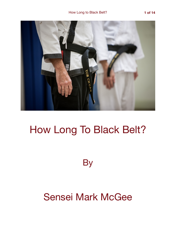

# How Long To Black Belt?

**By** 

## Sensei Mark McGee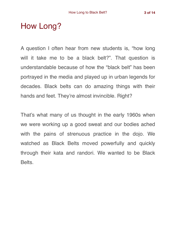### How Long?

A question I often hear from new students is, "how long will it take me to be a black belt?". That question is understandable because of how the "black belt" has been portrayed in the media and played up in urban legends for decades. Black belts can do amazing things with their hands and feet. They're almost invincible. Right?

That's what many of us thought in the early 1960s when we were working up a good sweat and our bodies ached with the pains of strenuous practice in the dojo. We watched as Black Belts moved powerfully and quickly through their kata and randori. We wanted to be Black Belts.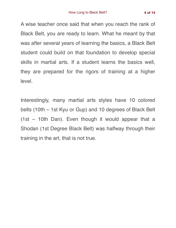A wise teacher once said that when you reach the rank of Black Belt, you are ready to learn. What he meant by that was after several years of learning the basics, a Black Belt student could build on that foundation to develop special skills in martial arts. If a student learns the basics well, they are prepared for the rigors of training at a higher level.

Interestingly, many martial arts styles have 10 colored belts (10th – 1st Kyu or Gup) and 10 degrees of Black Belt (1st – 10th Dan). Even though it would appear that a Shodan (1st Degree Black Belt) was halfway through their training in the art, that is not true.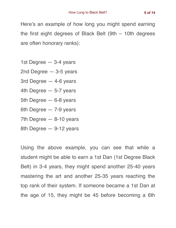Here's an example of how long you might spend earning the first eight degrees of Black Belt (9th – 10th degrees are often honorary ranks):

- 1st Degree 3-4 years
- 2nd Degree 3-5 years
- 3rd Degree 4-6 years
- 4th Degree 5-7 years
- 5th Degree 6-8 years
- 6th Degree 7-9 years
- 7th Degree 8-10 years
- 8th Degree 9-12 years

Using the above example, you can see that while a student might be able to earn a 1st Dan (1st Degree Black Belt) in 3-4 years, they might spend another 25-40 years mastering the art and another 25-35 years reaching the top rank of their system. If someone became a 1st Dan at the age of 15, they might be 45 before becoming a 6th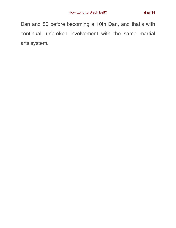Dan and 80 before becoming a 10th Dan, and that's with continual, unbroken involvement with the same martial arts system.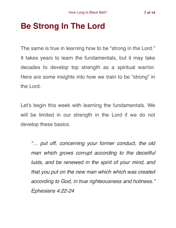## **Be Strong In The Lord**

The same is true in learning how to be "strong in the Lord." It takes years to learn the fundamentals, but it may take decades to develop top strength as a spiritual warrior. Here are some insights into how we train to be "strong" in the Lord.

Let's begin this week with learning the fundamentals. We will be limited in our strength in the Lord if we do not develop these basics.

*"… put off, concerning your former conduct, the old man which grows corrupt according to the deceitful lusts, and be renewed in the spirit of your mind, and that you put on the new man which which was created according to God, in true righteousness and holiness." Ephesians 4:22-24*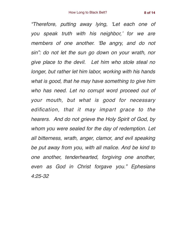*"Therefore, putting away lying, 'Let each one of you speak truth with his neighbor,' for we are members of one another. 'Be angry, and do not sin": do not let the sun go down on your wrath, nor give place to the devil. Let him who stole steal no longer, but rather let him labor, working with his hands what is good, that he may have something to give him who has need. Let no corrupt word proceed out of your mouth, but what is good for necessary edification, that it may impart grace to the hearers. And do not grieve the Holy Spirit of God, by whom you were sealed for the day of redemption. Let all bitterness, wrath, anger, clamor, and evil speaking be put away from you, with all malice. And be kind to one another, tenderhearted, forgiving one another, even as God in Christ forgave you." Ephesians 4:25-32*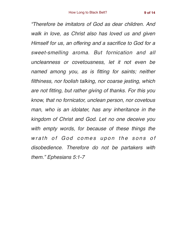*"Therefore be imitators of God as dear children. And walk in love, as Christ also has loved us and given Himself for us, an offering and a sacrifice to God for a sweet-smelling aroma. But fornication and all uncleanness or covetousness, let it not even be named among you, as is fitting for saints; neither filthiness, nor foolish talking, nor coarse jesting, which are not fitting, but rather giving of thanks. For this you know, that no fornicator, unclean person, nor covetous man, who is an idolater, has any inheritance in the kingdom of Christ and God. Let no one deceive you with empty words, for because of these things the*  wrath of God comes upon the sons of *disobedience. Therefore do not be partakers with them." Ephesians 5:1-7*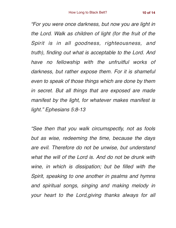*"For you were once darkness, but now you are light in the Lord. Walk as children of light (for the fruit of the Spirit is in all goodness, righteousness, and truth), finding out what is acceptable to the Lord. And have no fellowship with the unfruitful works of darkness, but rather expose them. For it is shameful even to speak of those things which are done by them in secret. But all things that are exposed are made manifest by the light, for whatever makes manifest is light." Ephesians 5:8-13*

*"See then that you walk circumspectly, not as fools but as wise, redeeming the time, because the days are evil. Therefore do not be unwise, but understand what the will of the Lord is. And do not be drunk with wine, in which is dissipation; but be filled with the Spirit, speaking to one another in psalms and hymns and spiritual songs, singing and making melody in your heart to the Lord,giving thanks always for all*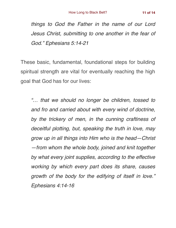*things to God the Father in the name of our Lord Jesus Christ, submitting to one another in the fear of God." Ephesians 5:14-21*

These basic, fundamental, foundational steps for building spiritual strength are vital for eventually reaching the high goal that God has for our lives:

*"… that we should no longer be children, tossed to and fro and carried about with every wind of doctrine, by the trickery of men, in the cunning craftiness of deceitful plotting, but, speaking the truth in love, may grow up in all things into Him who is the head—Christ —from whom the whole body, joined and knit together by what every joint supplies, according to the effective working by which every part does its share, causes growth of the body for the edifying of itself in love." Ephesians 4:14-16*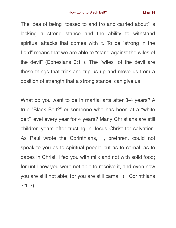The idea of being "tossed to and fro and carried about" is lacking a strong stance and the ability to withstand spiritual attacks that comes with it. To be "strong in the Lord" means that we are able to "stand against the wiles of the devil" (Ephesians 6:11). The "wiles" of the devil are those things that trick and trip us up and move us from a position of strength that a strong stance can give us.

What do you want to be in martial arts after 3-4 years? A true "Black Belt?" or someone who has been at a "white belt" level every year for 4 years? Many Christians are still children years after trusting in Jesus Christ for salvation. As Paul wrote the Corinthians, "I, brethren, could not speak to you as to spiritual people but as to carnal, as to babes in Christ. I fed you with milk and not with solid food; for until now you were not able to receive it, and even now you are still not able; for you are still carnal" (1 Corinthians 3:1-3).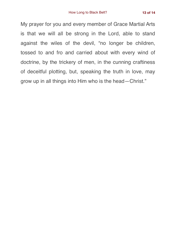My prayer for you and every member of Grace Martial Arts is that we will all be strong in the Lord, able to stand against the wiles of the devil, "no longer be children, tossed to and fro and carried about with every wind of doctrine, by the trickery of men, in the cunning craftiness of deceitful plotting, but, speaking the truth in love, may grow up in all things into Him who is the head—Christ."